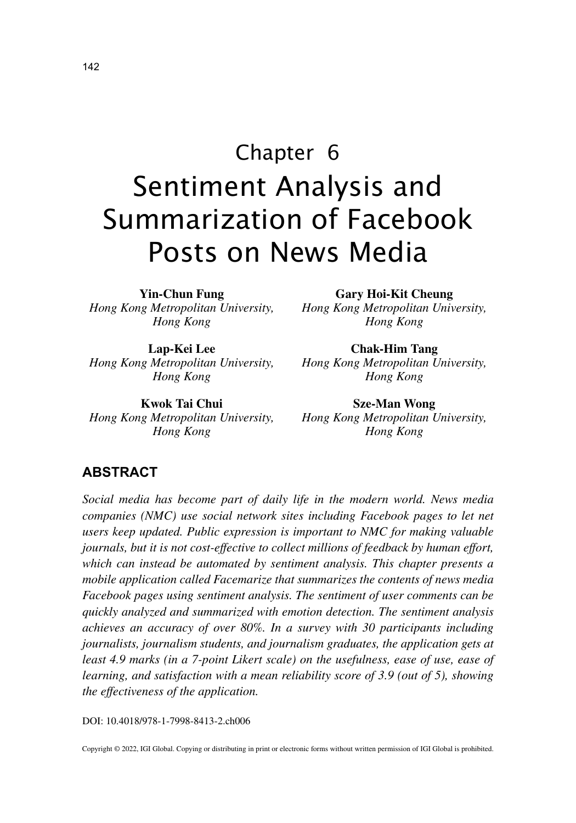# Chapter 6 Sentiment Analysis and Summarization of Facebook Posts on News Media

**Yin-Chun Fung** *Hong Kong Metropolitan University, Hong Kong*

**Lap-Kei Lee** *Hong Kong Metropolitan University, Hong Kong*

**Kwok Tai Chui** *Hong Kong Metropolitan University, Hong Kong*

**Gary Hoi-Kit Cheung**

*Hong Kong Metropolitan University, Hong Kong*

**Chak-Him Tang** *Hong Kong Metropolitan University, Hong Kong*

**Sze-Man Wong** *Hong Kong Metropolitan University, Hong Kong*

### **ABSTRACT**

*Social media has become part of daily life in the modern world. News media companies (NMC) use social network sites including Facebook pages to let net users keep updated. Public expression is important to NMC for making valuable journals, but it is not cost-effective to collect millions of feedback by human effort, which can instead be automated by sentiment analysis. This chapter presents a mobile application called Facemarize that summarizes the contents of news media Facebook pages using sentiment analysis. The sentiment of user comments can be quickly analyzed and summarized with emotion detection. The sentiment analysis achieves an accuracy of over 80%. In a survey with 30 participants including journalists, journalism students, and journalism graduates, the application gets at least 4.9 marks (in a 7-point Likert scale) on the usefulness, ease of use, ease of learning, and satisfaction with a mean reliability score of 3.9 (out of 5), showing the effectiveness of the application.*

DOI: 10.4018/978-1-7998-8413-2.ch006

Copyright © 2022, IGI Global. Copying or distributing in print or electronic forms without written permission of IGI Global is prohibited.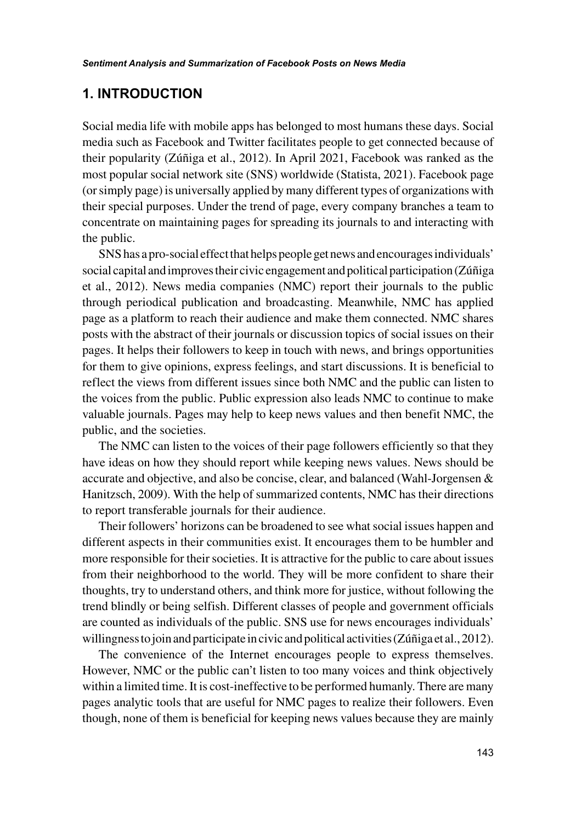## **1. INTRODUCTION**

Social media life with mobile apps has belonged to most humans these days. Social media such as Facebook and Twitter facilitates people to get connected because of their popularity (Zúñiga et al., 2012). In April 2021, Facebook was ranked as the most popular social network site (SNS) worldwide (Statista, 2021). Facebook page (or simply page) is universally applied by many different types of organizations with their special purposes. Under the trend of page, every company branches a team to concentrate on maintaining pages for spreading its journals to and interacting with the public.

SNS has a pro-social effect that helps people get news and encourages individuals' social capital and improves their civic engagement and political participation (Zúñiga et al., 2012). News media companies (NMC) report their journals to the public through periodical publication and broadcasting. Meanwhile, NMC has applied page as a platform to reach their audience and make them connected. NMC shares posts with the abstract of their journals or discussion topics of social issues on their pages. It helps their followers to keep in touch with news, and brings opportunities for them to give opinions, express feelings, and start discussions. It is beneficial to reflect the views from different issues since both NMC and the public can listen to the voices from the public. Public expression also leads NMC to continue to make valuable journals. Pages may help to keep news values and then benefit NMC, the public, and the societies.

The NMC can listen to the voices of their page followers efficiently so that they have ideas on how they should report while keeping news values. News should be accurate and objective, and also be concise, clear, and balanced (Wahl-Jorgensen & Hanitzsch, 2009). With the help of summarized contents, NMC has their directions to report transferable journals for their audience.

Their followers' horizons can be broadened to see what social issues happen and different aspects in their communities exist. It encourages them to be humbler and more responsible for their societies. It is attractive for the public to care about issues from their neighborhood to the world. They will be more confident to share their thoughts, try to understand others, and think more for justice, without following the trend blindly or being selfish. Different classes of people and government officials are counted as individuals of the public. SNS use for news encourages individuals' willingness to join and participate in civic and political activities (Zúñiga et al., 2012).

The convenience of the Internet encourages people to express themselves. However, NMC or the public can't listen to too many voices and think objectively within a limited time. It is cost-ineffective to be performed humanly. There are many pages analytic tools that are useful for NMC pages to realize their followers. Even though, none of them is beneficial for keeping news values because they are mainly